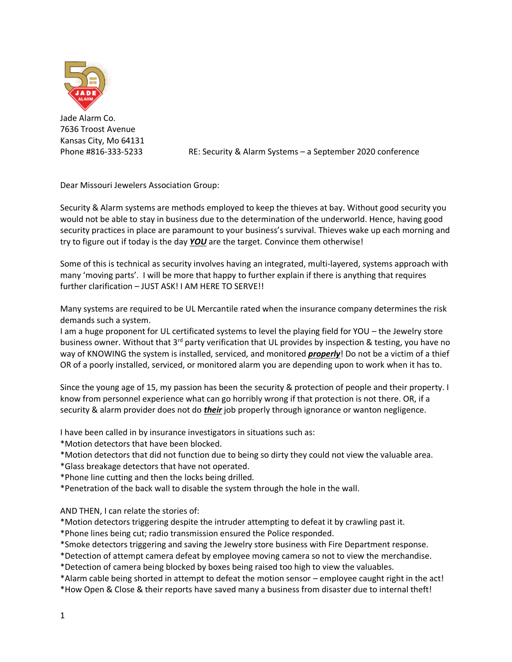

Jade Alarm Co. 7636 Troost Avenue Kansas City, Mo 64131

Phone #816-333-5233 RE: Security & Alarm Systems – a September 2020 conference

Dear Missouri Jewelers Association Group:

Security & Alarm systems are methods employed to keep the thieves at bay. Without good security you would not be able to stay in business due to the determination of the underworld. Hence, having good security practices in place are paramount to your business's survival. Thieves wake up each morning and try to figure out if today is the day *YOU* are the target. Convince them otherwise!

Some of this is technical as security involves having an integrated, multi-layered, systems approach with many 'moving parts'. I will be more that happy to further explain if there is anything that requires further clarification – JUST ASK! I AM HERE TO SERVE!!

Many systems are required to be UL Mercantile rated when the insurance company determines the risk demands such a system.

I am a huge proponent for UL certificated systems to level the playing field for YOU – the Jewelry store business owner. Without that  $3^{rd}$  party verification that UL provides by inspection & testing, you have no way of KNOWING the system is installed, serviced, and monitored *properly*! Do not be a victim of a thief OR of a poorly installed, serviced, or monitored alarm you are depending upon to work when it has to.

Since the young age of 15, my passion has been the security & protection of people and their property. I know from personnel experience what can go horribly wrong if that protection is not there. OR, if a security & alarm provider does not do *their* job properly through ignorance or wanton negligence.

I have been called in by insurance investigators in situations such as:

\*Motion detectors that have been blocked.

- \*Motion detectors that did not function due to being so dirty they could not view the valuable area.
- \*Glass breakage detectors that have not operated.
- \*Phone line cutting and then the locks being drilled.
- \*Penetration of the back wall to disable the system through the hole in the wall.

AND THEN, I can relate the stories of:

\*Motion detectors triggering despite the intruder attempting to defeat it by crawling past it.

- \*Phone lines being cut; radio transmission ensured the Police responded.
- \*Smoke detectors triggering and saving the Jewelry store business with Fire Department response.
- \*Detection of attempt camera defeat by employee moving camera so not to view the merchandise.

\*Detection of camera being blocked by boxes being raised too high to view the valuables.

\*Alarm cable being shorted in attempt to defeat the motion sensor – employee caught right in the act! \*How Open & Close & their reports have saved many a business from disaster due to internal theft!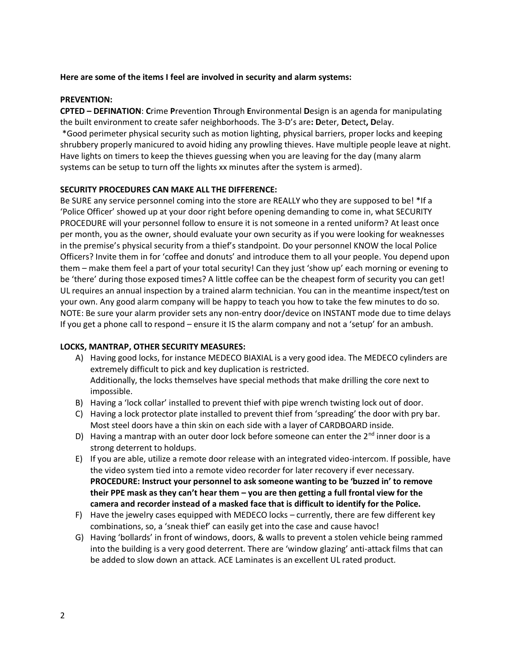#### **Here are some of the items I feel are involved in security and alarm systems:**

#### **PREVENTION:**

**CPTED – DEFINATION**: **C**rime **P**revention **T**hrough **E**nvironmental **D**esign is an agenda for manipulating the built environment to create safer neighborhoods. The 3-D's are**: D**eter, **D**etect**, D**elay. \*Good perimeter physical security such as motion lighting, physical barriers, proper locks and keeping shrubbery properly manicured to avoid hiding any prowling thieves. Have multiple people leave at night. Have lights on timers to keep the thieves guessing when you are leaving for the day (many alarm systems can be setup to turn off the lights xx minutes after the system is armed).

#### **SECURITY PROCEDURES CAN MAKE ALL THE DIFFERENCE:**

Be SURE any service personnel coming into the store are REALLY who they are supposed to be! \*If a 'Police Officer' showed up at your door right before opening demanding to come in, what SECURITY PROCEDURE will your personnel follow to ensure it is not someone in a rented uniform? At least once per month, you as the owner, should evaluate your own security as if you were looking for weaknesses in the premise's physical security from a thief's standpoint. Do your personnel KNOW the local Police Officers? Invite them in for 'coffee and donuts' and introduce them to all your people. You depend upon them – make them feel a part of your total security! Can they just 'show up' each morning or evening to be 'there' during those exposed times? A little coffee can be the cheapest form of security you can get! UL requires an annual inspection by a trained alarm technician. You can in the meantime inspect/test on your own. Any good alarm company will be happy to teach you how to take the few minutes to do so. NOTE: Be sure your alarm provider sets any non-entry door/device on INSTANT mode due to time delays If you get a phone call to respond – ensure it IS the alarm company and not a 'setup' for an ambush.

#### **LOCKS, MANTRAP, OTHER SECURITY MEASURES:**

- A) Having good locks, for instance MEDECO BIAXIAL is a very good idea. The MEDECO cylinders are extremely difficult to pick and key duplication is restricted. Additionally, the locks themselves have special methods that make drilling the core next to impossible.
- B) Having a 'lock collar' installed to prevent thief with pipe wrench twisting lock out of door.
- C) Having a lock protector plate installed to prevent thief from 'spreading' the door with pry bar. Most steel doors have a thin skin on each side with a layer of CARDBOARD inside.
- D) Having a mantrap with an outer door lock before someone can enter the  $2^{nd}$  inner door is a strong deterrent to holdups.
- E) If you are able, utilize a remote door release with an integrated video-intercom. If possible, have the video system tied into a remote video recorder for later recovery if ever necessary. **PROCEDURE: Instruct your personnel to ask someone wanting to be 'buzzed in' to remove their PPE mask as they can't hear them – you are then getting a full frontal view for the camera and recorder instead of a masked face that is difficult to identify for the Police.**
- F) Have the jewelry cases equipped with MEDECO locks currently, there are few different key combinations, so, a 'sneak thief' can easily get into the case and cause havoc!
- G) Having 'bollards' in front of windows, doors, & walls to prevent a stolen vehicle being rammed into the building is a very good deterrent. There are 'window glazing' anti-attack films that can be added to slow down an attack. ACE Laminates is an excellent UL rated product.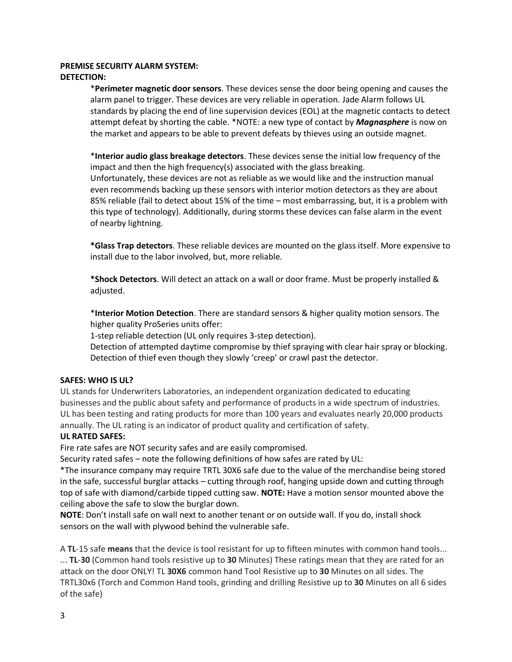## **PREMISE SECURITY ALARM SYSTEM: DETECTION:**

\***Perimeter magnetic door sensors**. These devices sense the door being opening and causes the alarm panel to trigger. These devices are very reliable in operation. Jade Alarm follows UL standards by placing the end of line supervision devices (EOL) at the magnetic contacts to detect attempt defeat by shorting the cable. \*NOTE: a new type of contact by *Magnasphere* is now on the market and appears to be able to prevent defeats by thieves using an outside magnet.

\***Interior audio glass breakage detectors**. These devices sense the initial low frequency of the impact and then the high frequency(s) associated with the glass breaking.

Unfortunately, these devices are not as reliable as we would like and the instruction manual even recommends backing up these sensors with interior motion detectors as they are about 85% reliable (fail to detect about 15% of the time – most embarrassing, but, it is a problem with this type of technology). Additionally, during storms these devices can false alarm in the event of nearby lightning.

**\*Glass Trap detectors**. These reliable devices are mounted on the glass itself. More expensive to install due to the labor involved, but, more reliable.

**\*Shock Detectors**. Will detect an attack on a wall or door frame. Must be properly installed & adjusted.

\***Interior Motion Detection**. There are standard sensors & higher quality motion sensors. The higher quality ProSeries units offer:

1-step reliable detection (UL only requires 3-step detection).

Detection of attempted daytime compromise by thief spraying with clear hair spray or blocking. Detection of thief even though they slowly 'creep' or crawl past the detector.

#### **SAFES: WHO IS UL?**

UL stands for Underwriters Laboratories, an independent organization dedicated to educating businesses and the public about safety and performance of products in a wide spectrum of industries. UL has been testing and rating products for more than 100 years and evaluates nearly 20,000 products annually. The UL rating is an indicator of product quality and certification of safety.

#### **UL RATED SAFES:**

Fire rate safes are NOT security safes and are easily compromised.

Security rated safes – note the following definitions of how safes are rated by UL:

\*The insurance company may require TRTL 30X6 safe due to the value of the merchandise being stored in the safe, successful burglar attacks – cutting through roof, hanging upside down and cutting through top of safe with diamond/carbide tipped cutting saw. **NOTE:** Have a motion sensor mounted above the ceiling above the safe to slow the burglar down.

**NOTE**: Don't install safe on wall next to another tenant or on outside wall. If you do, install shock sensors on the wall with plywood behind the vulnerable safe.

A **TL**-15 safe **means** that the device is tool resistant for up to fifteen minutes with common hand tools... ... **TL**-**30** (Common hand tools resistive up to **30** Minutes) These ratings mean that they are rated for an attack on the door ONLY! TL **30X6** common hand Tool Resistive up to **30** Minutes on all sides. The TRTL30x6 (Torch and Common Hand tools, grinding and drilling Resistive up to **30** Minutes on all 6 sides of the safe)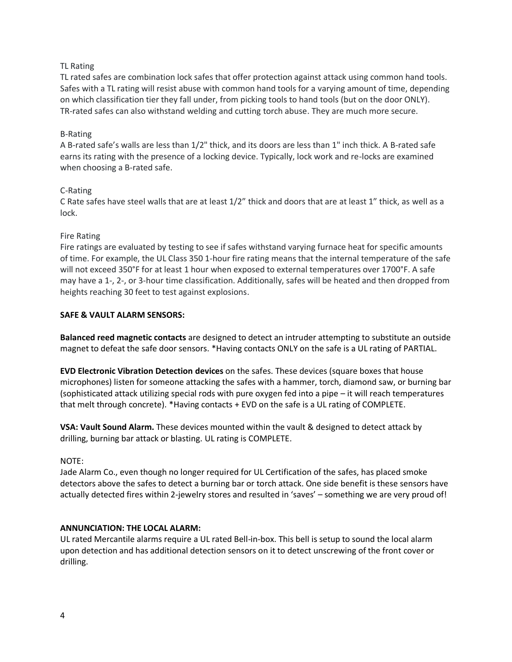## TL Rating

TL rated safes are combination lock safes that offer protection against attack using common hand tools. Safes with a TL rating will resist abuse with common hand tools for a varying amount of time, depending on which classification tier they fall under, from picking tools to hand tools (but on the door ONLY). TR-rated safes can also withstand welding and cutting torch abuse. They are much more secure.

## B-Rating

A B-rated safe's walls are less than 1/2" thick, and its doors are less than 1" inch thick. A B-rated safe earns its rating with the presence of a locking device. Typically, lock work and re-locks are examined when choosing a B-rated safe.

#### C-Rating

C Rate safes have steel walls that are at least 1/2" thick and doors that are at least 1" thick, as well as a lock.

## Fire Rating

Fire ratings are evaluated by testing to see if safes withstand varying furnace heat for specific amounts of time. For example, the UL Class 350 1-hour fire rating means that the internal temperature of the safe will not exceed 350°F for at least 1 hour when exposed to external temperatures over 1700°F. A safe may have a 1-, 2-, or 3-hour time classification. Additionally, safes will be heated and then dropped from heights reaching 30 feet to test against explosions.

## **SAFE & VAULT ALARM SENSORS:**

**Balanced reed magnetic contacts** are designed to detect an intruder attempting to substitute an outside magnet to defeat the safe door sensors. \*Having contacts ONLY on the safe is a UL rating of PARTIAL.

**EVD Electronic Vibration Detection devices** on the safes. These devices (square boxes that house microphones) listen for someone attacking the safes with a hammer, torch, diamond saw, or burning bar (sophisticated attack utilizing special rods with pure oxygen fed into a pipe – it will reach temperatures that melt through concrete). \*Having contacts + EVD on the safe is a UL rating of COMPLETE.

**VSA: Vault Sound Alarm.** These devices mounted within the vault & designed to detect attack by drilling, burning bar attack or blasting. UL rating is COMPLETE.

#### NOTE:

Jade Alarm Co., even though no longer required for UL Certification of the safes, has placed smoke detectors above the safes to detect a burning bar or torch attack. One side benefit is these sensors have actually detected fires within 2-jewelry stores and resulted in 'saves' – something we are very proud of!

#### **ANNUNCIATION: THE LOCAL ALARM:**

UL rated Mercantile alarms require a UL rated Bell-in-box. This bell is setup to sound the local alarm upon detection and has additional detection sensors on it to detect unscrewing of the front cover or drilling.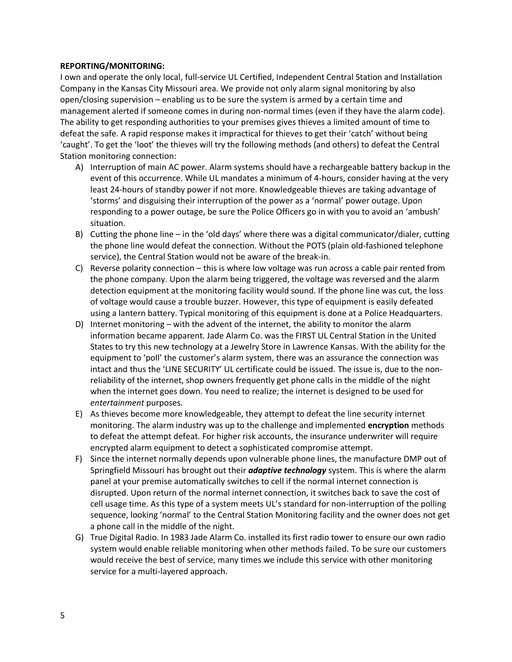#### **REPORTING/MONITORING:**

I own and operate the only local, full-service UL Certified, Independent Central Station and Installation Company in the Kansas City Missouri area. We provide not only alarm signal monitoring by also open/closing supervision – enabling us to be sure the system is armed by a certain time and management alerted if someone comes in during non-normal times (even if they have the alarm code). The ability to get responding authorities to your premises gives thieves a limited amount of time to defeat the safe. A rapid response makes it impractical for thieves to get their 'catch' without being 'caught'. To get the 'loot' the thieves will try the following methods (and others) to defeat the Central Station monitoring connection:

- A) Interruption of main AC power. Alarm systems should have a rechargeable battery backup in the event of this occurrence. While UL mandates a minimum of 4-hours, consider having at the very least 24-hours of standby power if not more. Knowledgeable thieves are taking advantage of 'storms' and disguising their interruption of the power as a 'normal' power outage. Upon responding to a power outage, be sure the Police Officers go in with you to avoid an 'ambush' situation.
- B) Cutting the phone line in the 'old days' where there was a digital communicator/dialer, cutting the phone line would defeat the connection. Without the POTS (plain old-fashioned telephone service), the Central Station would not be aware of the break-in.
- C) Reverse polarity connection this is where low voltage was run across a cable pair rented from the phone company. Upon the alarm being triggered, the voltage was reversed and the alarm detection equipment at the monitoring facility would sound. If the phone line was cut, the loss of voltage would cause a trouble buzzer. However, this type of equipment is easily defeated using a lantern battery. Typical monitoring of this equipment is done at a Police Headquarters.
- D) Internet monitoring with the advent of the internet, the ability to monitor the alarm information became apparent. Jade Alarm Co. was the FIRST UL Central Station in the United States to try this new technology at a Jewelry Store in Lawrence Kansas. With the ability for the equipment to 'poll' the customer's alarm system, there was an assurance the connection was intact and thus the 'LINE SECURITY' UL certificate could be issued. The issue is, due to the nonreliability of the internet, shop owners frequently get phone calls in the middle of the night when the internet goes down. You need to realize; the internet is designed to be used for *entertainment* purposes.
- E) As thieves become more knowledgeable, they attempt to defeat the line security internet monitoring. The alarm industry was up to the challenge and implemented **encryption** methods to defeat the attempt defeat. For higher risk accounts, the insurance underwriter will require encrypted alarm equipment to detect a sophisticated compromise attempt.
- F) Since the internet normally depends upon vulnerable phone lines, the manufacture DMP out of Springfield Missouri has brought out their *adaptive technology* system. This is where the alarm panel at your premise automatically switches to cell if the normal internet connection is disrupted. Upon return of the normal internet connection, it switches back to save the cost of cell usage time. As this type of a system meets UL's standard for non-interruption of the polling sequence, looking 'normal' to the Central Station Monitoring facility and the owner does not get a phone call in the middle of the night.
- G) True Digital Radio. In 1983 Jade Alarm Co. installed its first radio tower to ensure our own radio system would enable reliable monitoring when other methods failed. To be sure our customers would receive the best of service, many times we include this service with other monitoring service for a multi-layered approach.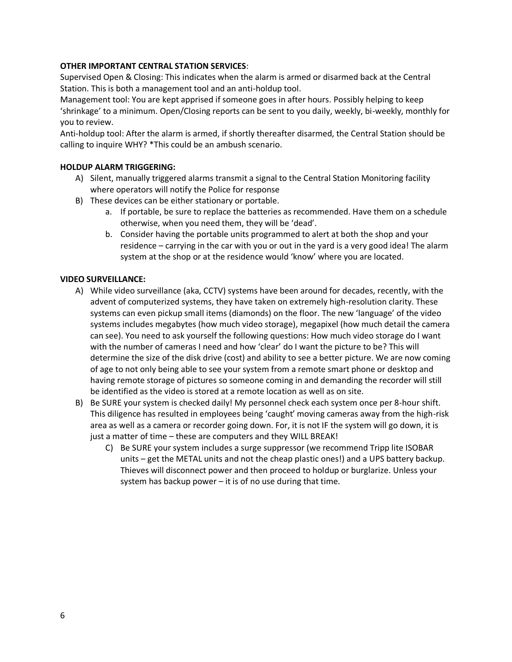## **OTHER IMPORTANT CENTRAL STATION SERVICES**:

Supervised Open & Closing: This indicates when the alarm is armed or disarmed back at the Central Station. This is both a management tool and an anti-holdup tool.

Management tool: You are kept apprised if someone goes in after hours. Possibly helping to keep 'shrinkage' to a minimum. Open/Closing reports can be sent to you daily, weekly, bi-weekly, monthly for you to review.

Anti-holdup tool: After the alarm is armed, if shortly thereafter disarmed, the Central Station should be calling to inquire WHY? \*This could be an ambush scenario.

### **HOLDUP ALARM TRIGGERING:**

- A) Silent, manually triggered alarms transmit a signal to the Central Station Monitoring facility where operators will notify the Police for response
- B) These devices can be either stationary or portable.
	- a. If portable, be sure to replace the batteries as recommended. Have them on a schedule otherwise, when you need them, they will be 'dead'.
	- b. Consider having the portable units programmed to alert at both the shop and your residence – carrying in the car with you or out in the yard is a very good idea! The alarm system at the shop or at the residence would 'know' where you are located.

#### **VIDEO SURVEILLANCE:**

- A) While video surveillance (aka, CCTV) systems have been around for decades, recently, with the advent of computerized systems, they have taken on extremely high-resolution clarity. These systems can even pickup small items (diamonds) on the floor. The new 'language' of the video systems includes megabytes (how much video storage), megapixel (how much detail the camera can see). You need to ask yourself the following questions: How much video storage do I want with the number of cameras I need and how 'clear' do I want the picture to be? This will determine the size of the disk drive (cost) and ability to see a better picture. We are now coming of age to not only being able to see your system from a remote smart phone or desktop and having remote storage of pictures so someone coming in and demanding the recorder will still be identified as the video is stored at a remote location as well as on site.
- B) Be SURE your system is checked daily! My personnel check each system once per 8-hour shift. This diligence has resulted in employees being 'caught' moving cameras away from the high-risk area as well as a camera or recorder going down. For, it is not IF the system will go down, it is just a matter of time – these are computers and they WILL BREAK!
	- C) Be SURE your system includes a surge suppressor (we recommend Tripp lite ISOBAR units – get the METAL units and not the cheap plastic ones!) and a UPS battery backup. Thieves will disconnect power and then proceed to holdup or burglarize. Unless your system has backup power – it is of no use during that time.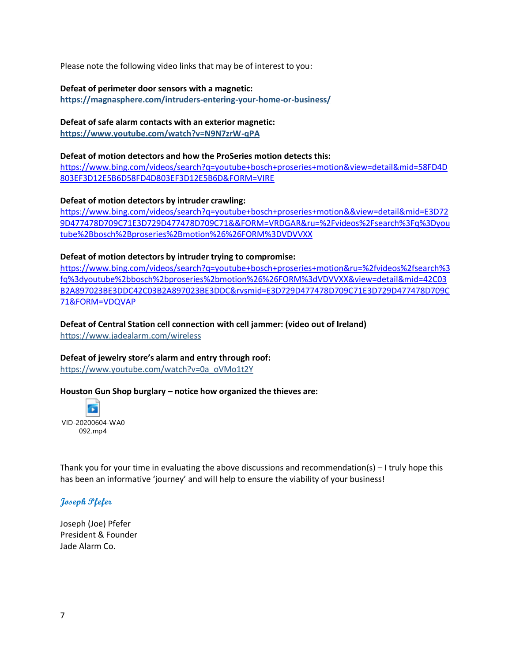Please note the following video links that may be of interest to you:

**Defeat of perimeter door sensors with a magnetic:**

**<https://magnasphere.com/intruders-entering-your-home-or-business/>**

**Defeat of safe alarm contacts with an exterior magnetic: <https://www.youtube.com/watch?v=N9N7zrW-qPA>**

#### **Defeat of motion detectors and how the ProSeries motion detects this:**

[https://www.bing.com/videos/search?q=youtube+bosch+proseries+motion&view=detail&mid=58FD4D](https://www.bing.com/videos/search?q=youtube+bosch+proseries+motion&view=detail&mid=58FD4D803EF3D12E5B6D58FD4D803EF3D12E5B6D&FORM=VIRE) [803EF3D12E5B6D58FD4D803EF3D12E5B6D&FORM=VIRE](https://www.bing.com/videos/search?q=youtube+bosch+proseries+motion&view=detail&mid=58FD4D803EF3D12E5B6D58FD4D803EF3D12E5B6D&FORM=VIRE)

#### **Defeat of motion detectors by intruder crawling:**

[https://www.bing.com/videos/search?q=youtube+bosch+proseries+motion&&view=detail&mid=E3D72](https://www.bing.com/videos/search?q=youtube+bosch+proseries+motion&&view=detail&mid=E3D729D477478D709C71E3D729D477478D709C71&&FORM=VRDGAR&ru=%2Fvideos%2Fsearch%3Fq%3Dyoutube%2Bbosch%2Bproseries%2Bmotion%26%26FORM%3DVDVVXX) [9D477478D709C71E3D729D477478D709C71&&FORM=VRDGAR&ru=%2Fvideos%2Fsearch%3Fq%3Dyou](https://www.bing.com/videos/search?q=youtube+bosch+proseries+motion&&view=detail&mid=E3D729D477478D709C71E3D729D477478D709C71&&FORM=VRDGAR&ru=%2Fvideos%2Fsearch%3Fq%3Dyoutube%2Bbosch%2Bproseries%2Bmotion%26%26FORM%3DVDVVXX) [tube%2Bbosch%2Bproseries%2Bmotion%26%26FORM%3DVDVVXX](https://www.bing.com/videos/search?q=youtube+bosch+proseries+motion&&view=detail&mid=E3D729D477478D709C71E3D729D477478D709C71&&FORM=VRDGAR&ru=%2Fvideos%2Fsearch%3Fq%3Dyoutube%2Bbosch%2Bproseries%2Bmotion%26%26FORM%3DVDVVXX)

#### **Defeat of motion detectors by intruder trying to compromise:**

[https://www.bing.com/videos/search?q=youtube+bosch+proseries+motion&ru=%2fvideos%2fsearch%3](https://www.bing.com/videos/search?q=youtube+bosch+proseries+motion&ru=%2fvideos%2fsearch%3fq%3dyoutube%2bbosch%2bproseries%2bmotion%26%26FORM%3dVDVVXX&view=detail&mid=42C03B2A897023BE3DDC42C03B2A897023BE3DDC&rvsmid=E3D729D477478D709C71E3D729D477478D709C71&FORM=VDQVAP) [fq%3dyoutube%2bbosch%2bproseries%2bmotion%26%26FORM%3dVDVVXX&view=detail&mid=42C03](https://www.bing.com/videos/search?q=youtube+bosch+proseries+motion&ru=%2fvideos%2fsearch%3fq%3dyoutube%2bbosch%2bproseries%2bmotion%26%26FORM%3dVDVVXX&view=detail&mid=42C03B2A897023BE3DDC42C03B2A897023BE3DDC&rvsmid=E3D729D477478D709C71E3D729D477478D709C71&FORM=VDQVAP) [B2A897023BE3DDC42C03B2A897023BE3DDC&rvsmid=E3D729D477478D709C71E3D729D477478D709C](https://www.bing.com/videos/search?q=youtube+bosch+proseries+motion&ru=%2fvideos%2fsearch%3fq%3dyoutube%2bbosch%2bproseries%2bmotion%26%26FORM%3dVDVVXX&view=detail&mid=42C03B2A897023BE3DDC42C03B2A897023BE3DDC&rvsmid=E3D729D477478D709C71E3D729D477478D709C71&FORM=VDQVAP) [71&FORM=VDQVAP](https://www.bing.com/videos/search?q=youtube+bosch+proseries+motion&ru=%2fvideos%2fsearch%3fq%3dyoutube%2bbosch%2bproseries%2bmotion%26%26FORM%3dVDVVXX&view=detail&mid=42C03B2A897023BE3DDC42C03B2A897023BE3DDC&rvsmid=E3D729D477478D709C71E3D729D477478D709C71&FORM=VDQVAP)

# **Defeat of Central Station cell connection with cell jammer: (video out of Ireland)**

<https://www.jadealarm.com/wireless>

#### **Defeat of jewelry store's alarm and entry through roof:**

[https://www.youtube.com/watch?v=0a\\_oVMo1t2Y](https://www.youtube.com/watch?v=0a_oVMo1t2Y)

#### **Houston Gun Shop burglary – notice how organized the thieves are:**

 $\overline{\mathbf{r}}$ VID-20200604-WA0 092.mp4

Thank you for your time in evaluating the above discussions and recommendation(s)  $-1$  truly hope this has been an informative 'journey' and will help to ensure the viability of your business!

## **Joseph Pfefer**

Joseph (Joe) Pfefer President & Founder Jade Alarm Co.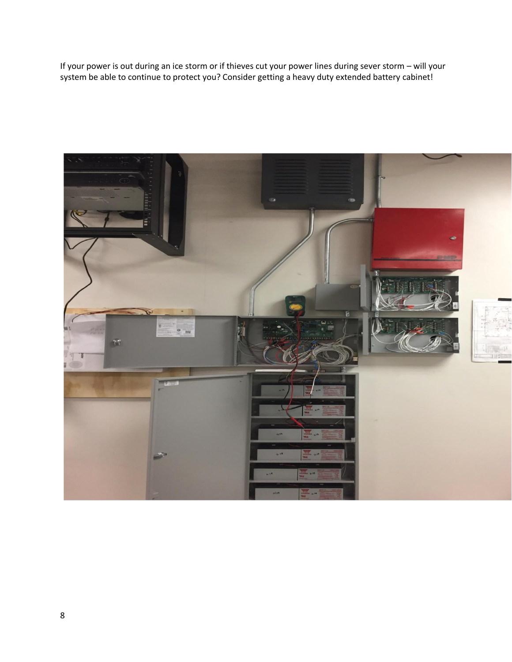If your power is out during an ice storm or if thieves cut your power lines during sever storm – will your system be able to continue to protect you? Consider getting a heavy duty extended battery cabinet!

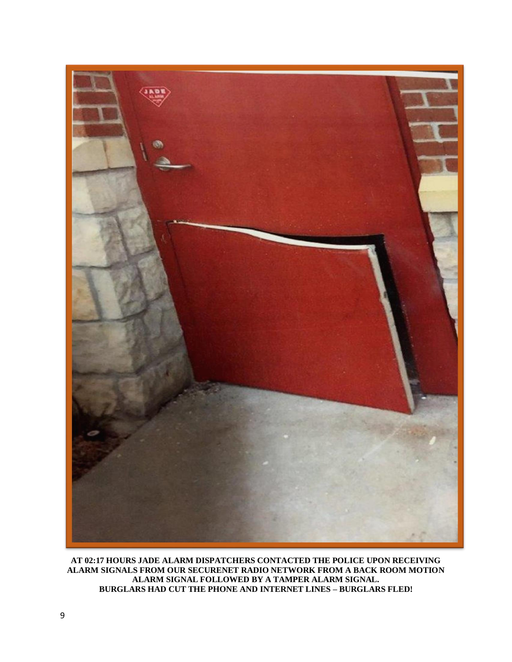

**AT 02:17 HOURS JADE ALARM DISPATCHERS CONTACTED THE POLICE UPON RECEIVING ALARM SIGNALS FROM OUR SECURENET RADIO NETWORK FROM A BACK ROOM MOTION ALARM SIGNAL FOLLOWED BY A TAMPER ALARM SIGNAL. BURGLARS HAD CUT THE PHONE AND INTERNET LINES – BURGLARS FLED!**